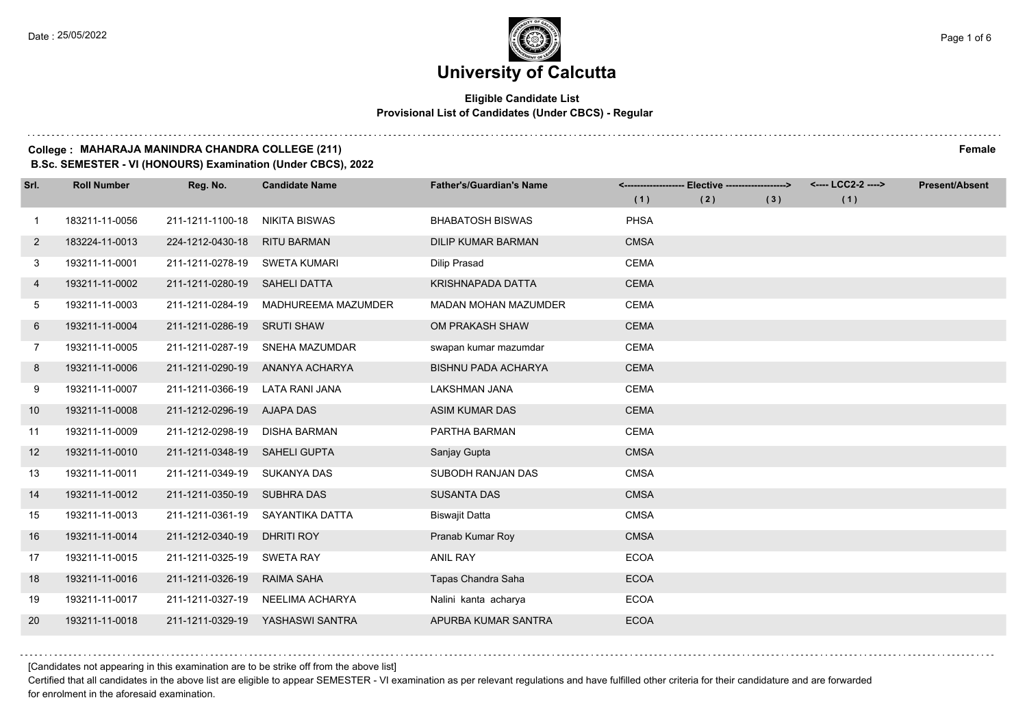# **Eligible Candidate List Provisional List of Candidates (Under CBCS) - Regular**

#### **College : MAHARAJA MANINDRA CHANDRA COLLEGE (211) Female**

**B.Sc. SEMESTER - VI (HONOURS) Examination (Under CBCS), 2022**

| Srl.           | <b>Roll Number</b> | Reg. No.         | <b>Candidate Name</b> | <b>Father's/Guardian's Name</b> |             | <------------------- Elective -------------------> |     | <---- LCC2-2 ----> | <b>Present/Absent</b> |
|----------------|--------------------|------------------|-----------------------|---------------------------------|-------------|----------------------------------------------------|-----|--------------------|-----------------------|
|                |                    |                  |                       |                                 | (1)         | (2)                                                | (3) | (1)                |                       |
| $\mathbf{1}$   | 183211-11-0056     | 211-1211-1100-18 | NIKITA BISWAS         | <b>BHABATOSH BISWAS</b>         | <b>PHSA</b> |                                                    |     |                    |                       |
| $\mathbf{2}$   | 183224-11-0013     | 224-1212-0430-18 | <b>RITU BARMAN</b>    | <b>DILIP KUMAR BARMAN</b>       | <b>CMSA</b> |                                                    |     |                    |                       |
| 3              | 193211-11-0001     | 211-1211-0278-19 | SWETA KUMARI          | <b>Dilip Prasad</b>             | <b>CEMA</b> |                                                    |     |                    |                       |
| 4              | 193211-11-0002     | 211-1211-0280-19 | SAHELI DATTA          | KRISHNAPADA DATTA               | <b>CEMA</b> |                                                    |     |                    |                       |
| 5              | 193211-11-0003     | 211-1211-0284-19 | MADHUREEMA MAZUMDER   | <b>MADAN MOHAN MAZUMDER</b>     | <b>CEMA</b> |                                                    |     |                    |                       |
| 6              | 193211-11-0004     | 211-1211-0286-19 | <b>SRUTI SHAW</b>     | OM PRAKASH SHAW                 | <b>CEMA</b> |                                                    |     |                    |                       |
| $\overline{7}$ | 193211-11-0005     | 211-1211-0287-19 | SNEHA MAZUMDAR        | swapan kumar mazumdar           | <b>CEMA</b> |                                                    |     |                    |                       |
| 8              | 193211-11-0006     | 211-1211-0290-19 | ANANYA ACHARYA        | <b>BISHNU PADA ACHARYA</b>      | <b>CEMA</b> |                                                    |     |                    |                       |
| 9              | 193211-11-0007     | 211-1211-0366-19 | LATA RANI JANA        | <b>LAKSHMAN JANA</b>            | <b>CEMA</b> |                                                    |     |                    |                       |
| 10             | 193211-11-0008     | 211-1212-0296-19 | <b>AJAPA DAS</b>      | <b>ASIM KUMAR DAS</b>           | <b>CEMA</b> |                                                    |     |                    |                       |
| 11             | 193211-11-0009     | 211-1212-0298-19 | DISHA BARMAN          | PARTHA BARMAN                   | <b>CEMA</b> |                                                    |     |                    |                       |
| 12             | 193211-11-0010     | 211-1211-0348-19 | <b>SAHELI GUPTA</b>   | Sanjay Gupta                    | <b>CMSA</b> |                                                    |     |                    |                       |
| 13             | 193211-11-0011     | 211-1211-0349-19 | SUKANYA DAS           | SUBODH RANJAN DAS               | <b>CMSA</b> |                                                    |     |                    |                       |
| 14             | 193211-11-0012     | 211-1211-0350-19 | <b>SUBHRA DAS</b>     | <b>SUSANTA DAS</b>              | <b>CMSA</b> |                                                    |     |                    |                       |
| 15             | 193211-11-0013     | 211-1211-0361-19 | SAYANTIKA DATTA       | <b>Biswajit Datta</b>           | <b>CMSA</b> |                                                    |     |                    |                       |
| 16             | 193211-11-0014     | 211-1212-0340-19 | DHRITI ROY            | Pranab Kumar Roy                | <b>CMSA</b> |                                                    |     |                    |                       |
| 17             | 193211-11-0015     | 211-1211-0325-19 | <b>SWETA RAY</b>      | <b>ANIL RAY</b>                 | <b>ECOA</b> |                                                    |     |                    |                       |
| 18             | 193211-11-0016     | 211-1211-0326-19 | RAIMA SAHA            | Tapas Chandra Saha              | <b>ECOA</b> |                                                    |     |                    |                       |
| 19             | 193211-11-0017     | 211-1211-0327-19 | NEELIMA ACHARYA       | Nalini kanta acharya            | <b>ECOA</b> |                                                    |     |                    |                       |
| 20             | 193211-11-0018     | 211-1211-0329-19 | YASHASWI SANTRA       | APURBA KUMAR SANTRA             | <b>ECOA</b> |                                                    |     |                    |                       |

[Candidates not appearing in this examination are to be strike off from the above list]

Certified that all candidates in the above list are eligible to appear SEMESTER - VI examination as per relevant regulations and have fulfilled other criteria for their candidature and are forwarded for enrolment in the aforesaid examination.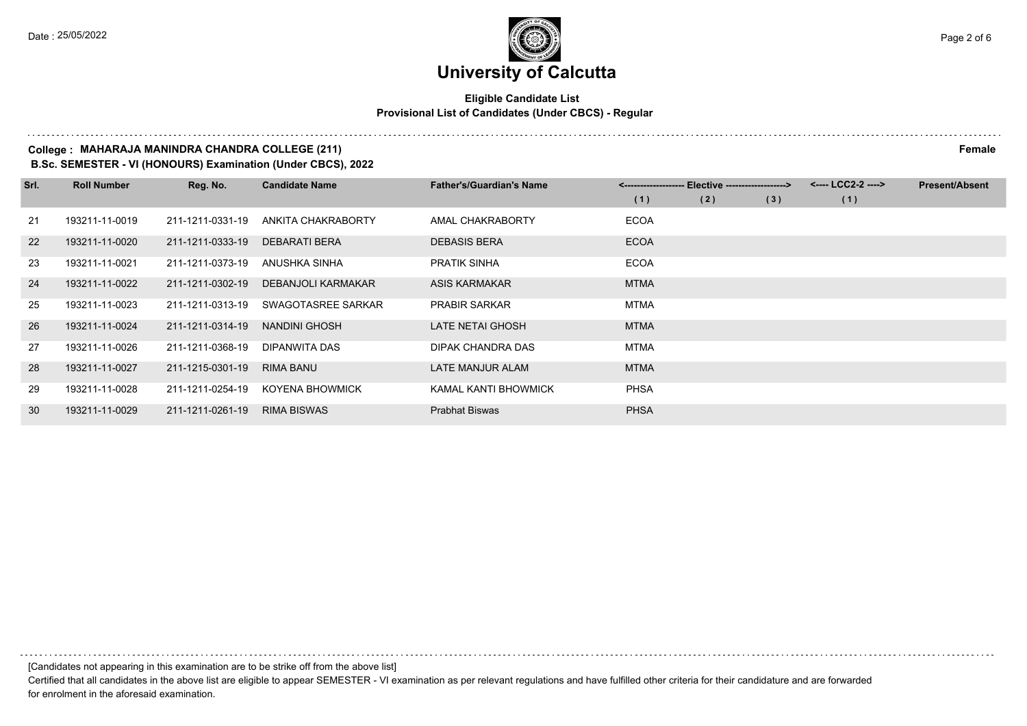### **Eligible Candidate List Provisional List of Candidates (Under CBCS) - Regular**

# **College : MAHARAJA MANINDRA CHANDRA COLLEGE (211) Female**

**B.Sc. SEMESTER - VI (HONOURS) Examination (Under CBCS), 2022**

| Srl. | <b>Roll Number</b> | Reg. No.         | <b>Candidate Name</b> | <b>Father's/Guardian's Name</b> | Elective -------------------> |     |     | <---- LCC2-2 ----> | <b>Present/Absent</b> |
|------|--------------------|------------------|-----------------------|---------------------------------|-------------------------------|-----|-----|--------------------|-----------------------|
|      |                    |                  |                       |                                 | (1)                           | (2) | (3) | (1)                |                       |
| 21   | 193211-11-0019     | 211-1211-0331-19 | ANKITA CHAKRABORTY    | AMAL CHAKRABORTY                | <b>ECOA</b>                   |     |     |                    |                       |
| 22   | 193211-11-0020     | 211-1211-0333-19 | <b>DEBARATI BERA</b>  | <b>DEBASIS BERA</b>             | <b>ECOA</b>                   |     |     |                    |                       |
| 23   | 193211-11-0021     | 211-1211-0373-19 | ANUSHKA SINHA         | <b>PRATIK SINHA</b>             | <b>ECOA</b>                   |     |     |                    |                       |
| 24   | 193211-11-0022     | 211-1211-0302-19 | DEBANJOLI KARMAKAR    | ASIS KARMAKAR                   | <b>MTMA</b>                   |     |     |                    |                       |
| 25   | 193211-11-0023     | 211-1211-0313-19 | SWAGOTASREE SARKAR    | <b>PRABIR SARKAR</b>            | <b>MTMA</b>                   |     |     |                    |                       |
| 26   | 193211-11-0024     | 211-1211-0314-19 | NANDINI GHOSH         | LATE NETAI GHOSH                | <b>MTMA</b>                   |     |     |                    |                       |
| 27   | 193211-11-0026     | 211-1211-0368-19 | DIPANWITA DAS         | DIPAK CHANDRA DAS               | <b>MTMA</b>                   |     |     |                    |                       |
| 28   | 193211-11-0027     | 211-1215-0301-19 | RIMA BANU             | LATE MANJUR ALAM                | <b>MTMA</b>                   |     |     |                    |                       |
| 29   | 193211-11-0028     | 211-1211-0254-19 | KOYENA BHOWMICK       | KAMAL KANTI BHOWMICK            | <b>PHSA</b>                   |     |     |                    |                       |
| 30   | 193211-11-0029     | 211-1211-0261-19 | <b>RIMA BISWAS</b>    | <b>Prabhat Biswas</b>           | <b>PHSA</b>                   |     |     |                    |                       |

[Candidates not appearing in this examination are to be strike off from the above list]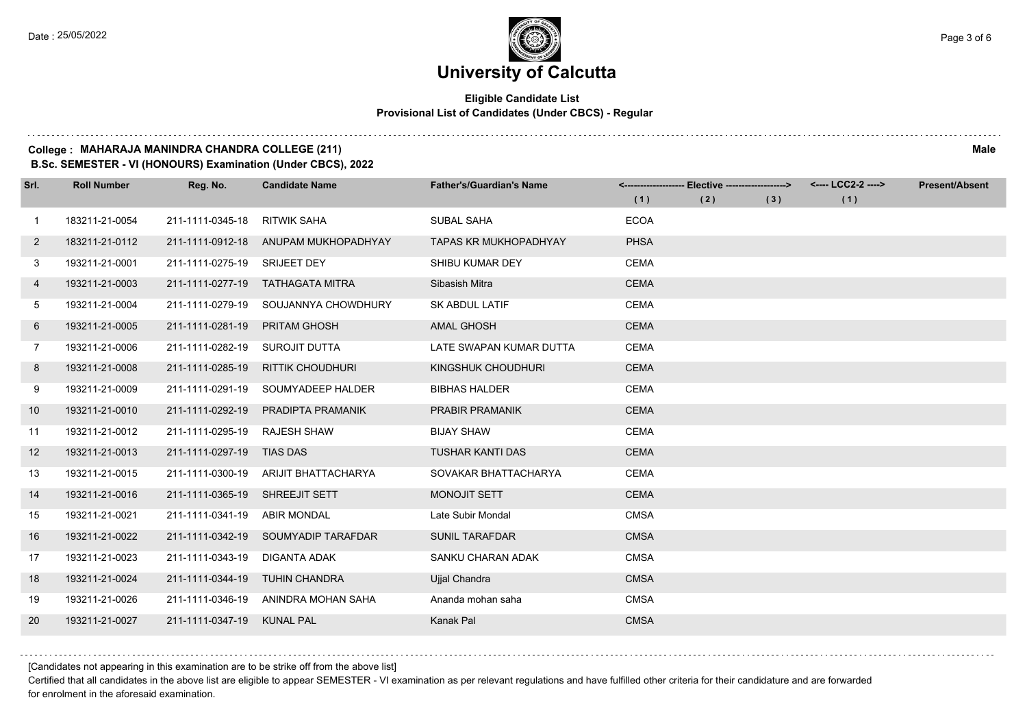### **Eligible Candidate List Provisional List of Candidates (Under CBCS) - Regular**

#### **College : MAHARAJA MANINDRA CHANDRA COLLEGE (211) Male**

**B.Sc. SEMESTER - VI (HONOURS) Examination (Under CBCS), 2022**

| Srl.         | <b>Roll Number</b> | Reg. No.                       | <b>Candidate Name</b>               | <b>Father's/Guardian's Name</b> |             | <------------------- Elective -------------------> |     | <---- LCC2-2 ----> | <b>Present/Absent</b> |
|--------------|--------------------|--------------------------------|-------------------------------------|---------------------------------|-------------|----------------------------------------------------|-----|--------------------|-----------------------|
|              |                    |                                |                                     |                                 | (1)         | (2)                                                | (3) | (1)                |                       |
| 1            | 183211-21-0054     | 211-1111-0345-18               | <b>RITWIK SAHA</b>                  | <b>SUBAL SAHA</b>               | <b>ECOA</b> |                                                    |     |                    |                       |
| $\mathbf{2}$ | 183211-21-0112     | 211-1111-0912-18               | ANUPAM MUKHOPADHYAY                 | <b>TAPAS KR MUKHOPADHYAY</b>    | <b>PHSA</b> |                                                    |     |                    |                       |
| 3            | 193211-21-0001     | 211-1111-0275-19 SRIJEET DEY   |                                     | SHIBU KUMAR DEY                 | <b>CEMA</b> |                                                    |     |                    |                       |
| 4            | 193211-21-0003     | 211-1111-0277-19               | TATHAGATA MITRA                     | Sibasish Mitra                  | <b>CEMA</b> |                                                    |     |                    |                       |
| 5            | 193211-21-0004     | 211-1111-0279-19               | SOUJANNYA CHOWDHURY                 | <b>SK ABDUL LATIF</b>           | <b>CEMA</b> |                                                    |     |                    |                       |
| 6            | 193211-21-0005     | 211-1111-0281-19               | <b>PRITAM GHOSH</b>                 | <b>AMAL GHOSH</b>               | <b>CEMA</b> |                                                    |     |                    |                       |
| $7^{\circ}$  | 193211-21-0006     | 211-1111-0282-19 SUROJIT DUTTA |                                     | LATE SWAPAN KUMAR DUTTA         | <b>CEMA</b> |                                                    |     |                    |                       |
| 8            | 193211-21-0008     | 211-1111-0285-19               | RITTIK CHOUDHURI                    | KINGSHUK CHOUDHURI              | <b>CEMA</b> |                                                    |     |                    |                       |
| 9            | 193211-21-0009     | 211-1111-0291-19               | SOUMYADEEP HALDER                   | <b>BIBHAS HALDER</b>            | <b>CEMA</b> |                                                    |     |                    |                       |
| 10           | 193211-21-0010     | 211-1111-0292-19               | PRADIPTA PRAMANIK                   | PRABIR PRAMANIK                 | <b>CEMA</b> |                                                    |     |                    |                       |
| 11           | 193211-21-0012     | 211-1111-0295-19               | <b>RAJESH SHAW</b>                  | <b>BIJAY SHAW</b>               | <b>CEMA</b> |                                                    |     |                    |                       |
| 12           | 193211-21-0013     | 211-1111-0297-19 TIAS DAS      |                                     | <b>TUSHAR KANTI DAS</b>         | <b>CEMA</b> |                                                    |     |                    |                       |
| 13           | 193211-21-0015     | 211-1111-0300-19               | ARIJIT BHATTACHARYA                 | SOVAKAR BHATTACHARYA            | <b>CEMA</b> |                                                    |     |                    |                       |
| 14           | 193211-21-0016     | 211-1111-0365-19               | SHREEJIT SETT                       | <b>MONOJIT SETT</b>             | <b>CEMA</b> |                                                    |     |                    |                       |
| 15           | 193211-21-0021     | 211-1111-0341-19               | ABIR MONDAL                         | Late Subir Mondal               | <b>CMSA</b> |                                                    |     |                    |                       |
| 16           | 193211-21-0022     |                                | 211-1111-0342-19 SOUMYADIP TARAFDAR | <b>SUNIL TARAFDAR</b>           | <b>CMSA</b> |                                                    |     |                    |                       |
| 17           | 193211-21-0023     | 211-1111-0343-19               | <b>DIGANTA ADAK</b>                 | SANKU CHARAN ADAK               | <b>CMSA</b> |                                                    |     |                    |                       |
| 18           | 193211-21-0024     | 211-1111-0344-19               | <b>TUHIN CHANDRA</b>                | Ujjal Chandra                   | <b>CMSA</b> |                                                    |     |                    |                       |
| 19           | 193211-21-0026     | 211-1111-0346-19               | ANINDRA MOHAN SAHA                  | Ananda mohan saha               | <b>CMSA</b> |                                                    |     |                    |                       |
| 20           | 193211-21-0027     | 211-1111-0347-19               | <b>KUNAL PAL</b>                    | Kanak Pal                       | <b>CMSA</b> |                                                    |     |                    |                       |

[Candidates not appearing in this examination are to be strike off from the above list]

Certified that all candidates in the above list are eligible to appear SEMESTER - VI examination as per relevant regulations and have fulfilled other criteria for their candidature and are forwarded for enrolment in the aforesaid examination.

. . . . . . .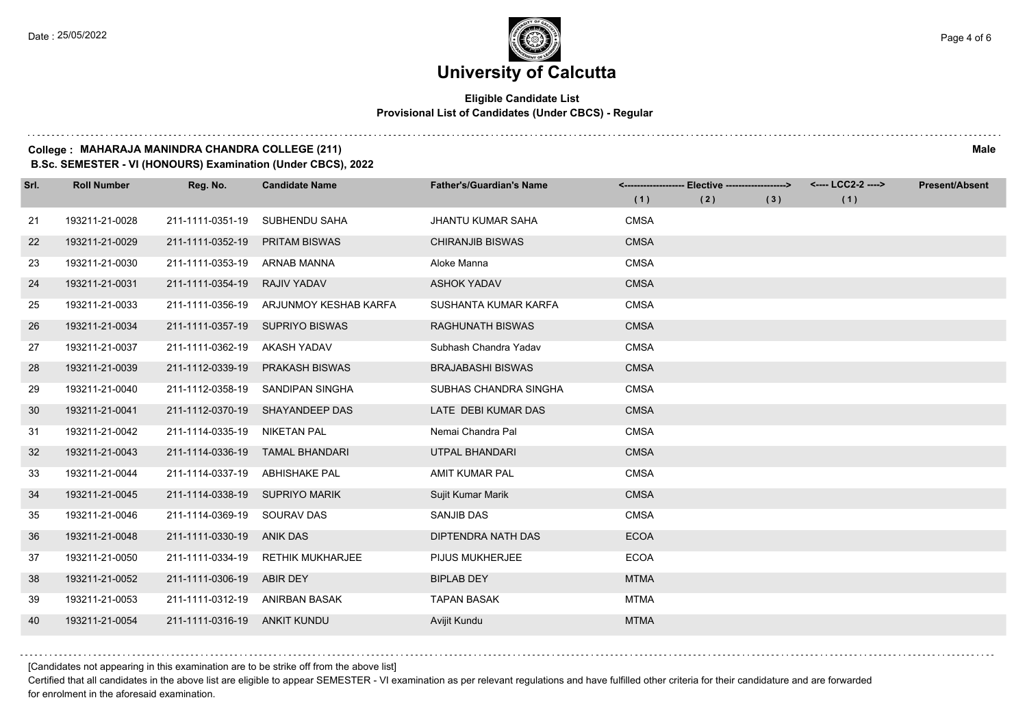### **Eligible Candidate List Provisional List of Candidates (Under CBCS) - Regular**

#### **College : MAHARAJA MANINDRA CHANDRA COLLEGE (211) Male**

**B.Sc. SEMESTER - VI (HONOURS) Examination (Under CBCS), 2022**

| Srl. | <b>Roll Number</b> | Reg. No.                     | <b>Candidate Name</b>           | <b>Father's/Guardian's Name</b> | (1)         | <------------------- Elective -------------------><br>(2) | (3) | <---- LCC2-2 ----><br>(1) | <b>Present/Absent</b> |
|------|--------------------|------------------------------|---------------------------------|---------------------------------|-------------|-----------------------------------------------------------|-----|---------------------------|-----------------------|
| 21   | 193211-21-0028     | 211-1111-0351-19             | SUBHENDU SAHA                   | <b>JHANTU KUMAR SAHA</b>        | <b>CMSA</b> |                                                           |     |                           |                       |
| 22   | 193211-21-0029     | 211-1111-0352-19             | <b>PRITAM BISWAS</b>            | <b>CHIRANJIB BISWAS</b>         | <b>CMSA</b> |                                                           |     |                           |                       |
| 23   | 193211-21-0030     | 211-1111-0353-19             | ARNAB MANNA                     | Aloke Manna                     | <b>CMSA</b> |                                                           |     |                           |                       |
| 24   | 193211-21-0031     | 211-1111-0354-19             | RAJIV YADAV                     | <b>ASHOK YADAV</b>              | <b>CMSA</b> |                                                           |     |                           |                       |
| 25   | 193211-21-0033     | 211-1111-0356-19             | ARJUNMOY KESHAB KARFA           | SUSHANTA KUMAR KARFA            | <b>CMSA</b> |                                                           |     |                           |                       |
| 26   | 193211-21-0034     | 211-1111-0357-19             | <b>SUPRIYO BISWAS</b>           | <b>RAGHUNATH BISWAS</b>         | <b>CMSA</b> |                                                           |     |                           |                       |
| 27   | 193211-21-0037     | 211-1111-0362-19             | AKASH YADAV                     | Subhash Chandra Yadav           | <b>CMSA</b> |                                                           |     |                           |                       |
| 28   | 193211-21-0039     | 211-1112-0339-19             | <b>PRAKASH BISWAS</b>           | <b>BRAJABASHI BISWAS</b>        | <b>CMSA</b> |                                                           |     |                           |                       |
| 29   | 193211-21-0040     | 211-1112-0358-19             | SANDIPAN SINGHA                 | SUBHAS CHANDRA SINGHA           | <b>CMSA</b> |                                                           |     |                           |                       |
| 30   | 193211-21-0041     | 211-1112-0370-19             | SHAYANDEEP DAS                  | LATE DEBI KUMAR DAS             | <b>CMSA</b> |                                                           |     |                           |                       |
| 31   | 193211-21-0042     | 211-1114-0335-19             | NIKETAN PAL                     | Nemai Chandra Pal               | <b>CMSA</b> |                                                           |     |                           |                       |
| 32   | 193211-21-0043     |                              | 211-1114-0336-19 TAMAL BHANDARI | <b>UTPAL BHANDARI</b>           | <b>CMSA</b> |                                                           |     |                           |                       |
| 33   | 193211-21-0044     | 211-1114-0337-19             | ABHISHAKE PAL                   | AMIT KUMAR PAL                  | <b>CMSA</b> |                                                           |     |                           |                       |
| 34   | 193211-21-0045     | 211-1114-0338-19             | SUPRIYO MARIK                   | Sujit Kumar Marik               | <b>CMSA</b> |                                                           |     |                           |                       |
| 35   | 193211-21-0046     | 211-1114-0369-19 SOURAV DAS  |                                 | SANJIB DAS                      | <b>CMSA</b> |                                                           |     |                           |                       |
| 36   | 193211-21-0048     | 211-1111-0330-19 ANIK DAS    |                                 | DIPTENDRA NATH DAS              | <b>ECOA</b> |                                                           |     |                           |                       |
| 37   | 193211-21-0050     | 211-1111-0334-19             | <b>RETHIK MUKHARJEE</b>         | PIJUS MUKHERJEE                 | <b>ECOA</b> |                                                           |     |                           |                       |
| 38   | 193211-21-0052     | 211-1111-0306-19             | ABIR DEY                        | <b>BIPLAB DEY</b>               | <b>MTMA</b> |                                                           |     |                           |                       |
| 39   | 193211-21-0053     | 211-1111-0312-19             | ANIRBAN BASAK                   | <b>TAPAN BASAK</b>              | <b>MTMA</b> |                                                           |     |                           |                       |
| 40   | 193211-21-0054     | 211-1111-0316-19 ANKIT KUNDU |                                 | Avijit Kundu                    | <b>MTMA</b> |                                                           |     |                           |                       |

[Candidates not appearing in this examination are to be strike off from the above list]

Certified that all candidates in the above list are eligible to appear SEMESTER - VI examination as per relevant regulations and have fulfilled other criteria for their candidature and are forwarded for enrolment in the aforesaid examination.

. . . . . . .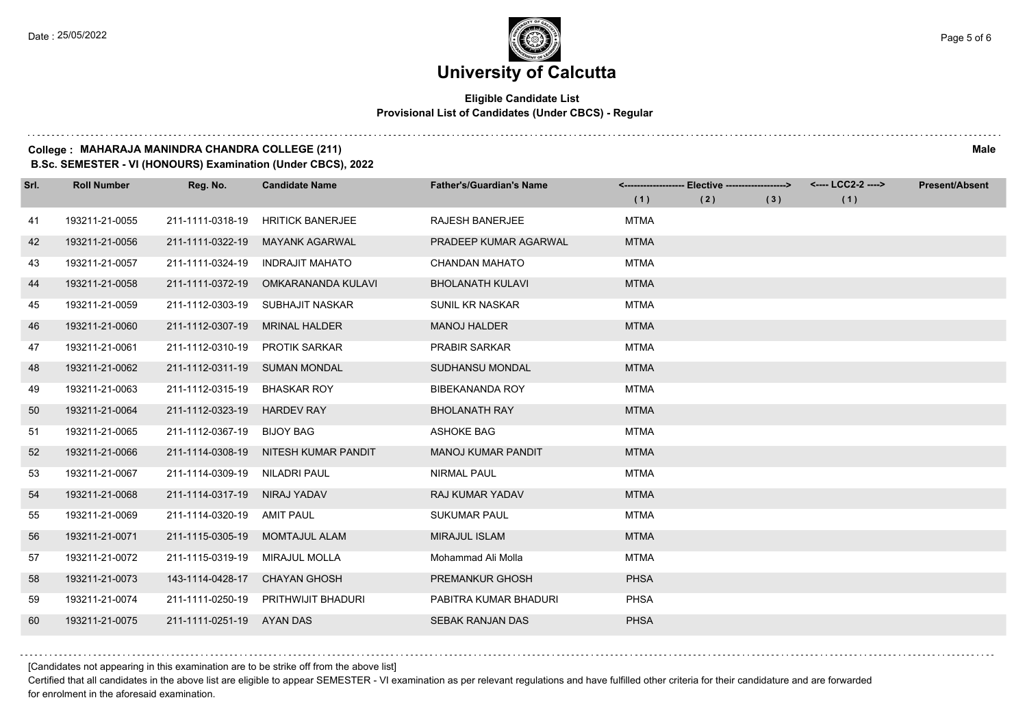$1.111$ 

# **University of Calcutta**

## **Eligible Candidate List Provisional List of Candidates (Under CBCS) - Regular**

#### **College : MAHARAJA MANINDRA CHANDRA COLLEGE (211) Male**

**B.Sc. SEMESTER - VI (HONOURS) Examination (Under CBCS), 2022**

| Srl. | <b>Roll Number</b> | Reg. No.                       | <b>Candidate Name</b>               | <b>Father's/Guardian's Name</b> | (1)         | <------------------- Elective ------------------><br>(2) | (3) | (1) | <b>Present/Absent</b> |
|------|--------------------|--------------------------------|-------------------------------------|---------------------------------|-------------|----------------------------------------------------------|-----|-----|-----------------------|
| 41   | 193211-21-0055     | 211-1111-0318-19               | <b>HRITICK BANERJEE</b>             | <b>RAJESH BANERJEE</b>          | <b>MTMA</b> |                                                          |     |     |                       |
| 42   | 193211-21-0056     | 211-1111-0322-19               | <b>MAYANK AGARWAL</b>               | PRADEEP KUMAR AGARWAL           | <b>MTMA</b> |                                                          |     |     |                       |
| 43   | 193211-21-0057     | 211-1111-0324-19               | <b>INDRAJIT MAHATO</b>              | <b>CHANDAN MAHATO</b>           | <b>MTMA</b> |                                                          |     |     |                       |
| 44   | 193211-21-0058     | 211-1111-0372-19               | OMKARANANDA KULAVI                  | <b>BHOLANATH KULAVI</b>         | <b>MTMA</b> |                                                          |     |     |                       |
| 45   | 193211-21-0059     | 211-1112-0303-19               | SUBHAJIT NASKAR                     | SUNIL KR NASKAR                 | <b>MTMA</b> |                                                          |     |     |                       |
| -46  | 193211-21-0060     | 211-1112-0307-19               | <b>MRINAL HALDER</b>                | <b>MANOJ HALDER</b>             | <b>MTMA</b> |                                                          |     |     |                       |
| 47   | 193211-21-0061     | 211-1112-0310-19 PROTIK SARKAR |                                     | <b>PRABIR SARKAR</b>            | <b>MTMA</b> |                                                          |     |     |                       |
| 48   | 193211-21-0062     | 211-1112-0311-19 SUMAN MONDAL  |                                     | SUDHANSU MONDAL                 | <b>MTMA</b> |                                                          |     |     |                       |
| 49   | 193211-21-0063     | 211-1112-0315-19               | BHASKAR ROY                         | BIBEKANANDA ROY                 | <b>MTMA</b> |                                                          |     |     |                       |
| 50   | 193211-21-0064     | 211-1112-0323-19               | <b>HARDEV RAY</b>                   | <b>BHOLANATH RAY</b>            | <b>MTMA</b> |                                                          |     |     |                       |
| 51   | 193211-21-0065     | 211-1112-0367-19 BIJOY BAG     |                                     | <b>ASHOKE BAG</b>               | <b>MTMA</b> |                                                          |     |     |                       |
| 52   | 193211-21-0066     | 211-1114-0308-19               | NITESH KUMAR PANDIT                 | <b>MANOJ KUMAR PANDIT</b>       | <b>MTMA</b> |                                                          |     |     |                       |
| 53   | 193211-21-0067     | 211-1114-0309-19               | <b>NILADRI PAUL</b>                 | <b>NIRMAL PAUL</b>              | <b>MTMA</b> |                                                          |     |     |                       |
| 54   | 193211-21-0068     | 211-1114-0317-19               | NIRAJ YADAV                         | <b>RAJ KUMAR YADAV</b>          | <b>MTMA</b> |                                                          |     |     |                       |
| 55   | 193211-21-0069     | 211-1114-0320-19               | AMIT PAUL                           | <b>SUKUMAR PAUL</b>             | <b>MTMA</b> |                                                          |     |     |                       |
| 56   | 193211-21-0071     | 211-1115-0305-19               | <b>MOMTAJUL ALAM</b>                | <b>MIRAJUL ISLAM</b>            | <b>MTMA</b> |                                                          |     |     |                       |
| 57   | 193211-21-0072     | 211-1115-0319-19               | <b>MIRAJUL MOLLA</b>                | Mohammad Ali Molla              | <b>MTMA</b> |                                                          |     |     |                       |
| 58   | 193211-21-0073     | 143-1114-0428-17               | <b>CHAYAN GHOSH</b>                 | PREMANKUR GHOSH                 | <b>PHSA</b> |                                                          |     |     |                       |
| 59   | 193211-21-0074     |                                | 211-1111-0250-19 PRITHWIJIT BHADURI | PABITRA KUMAR BHADURI           | <b>PHSA</b> |                                                          |     |     |                       |
| 60   | 193211-21-0075     | 211-1111-0251-19 AYAN DAS      |                                     | SEBAK RANJAN DAS                | <b>PHSA</b> |                                                          |     |     |                       |

[Candidates not appearing in this examination are to be strike off from the above list]

Certified that all candidates in the above list are eligible to appear SEMESTER - VI examination as per relevant regulations and have fulfilled other criteria for their candidature and are forwarded for enrolment in the aforesaid examination.

. . . . . . .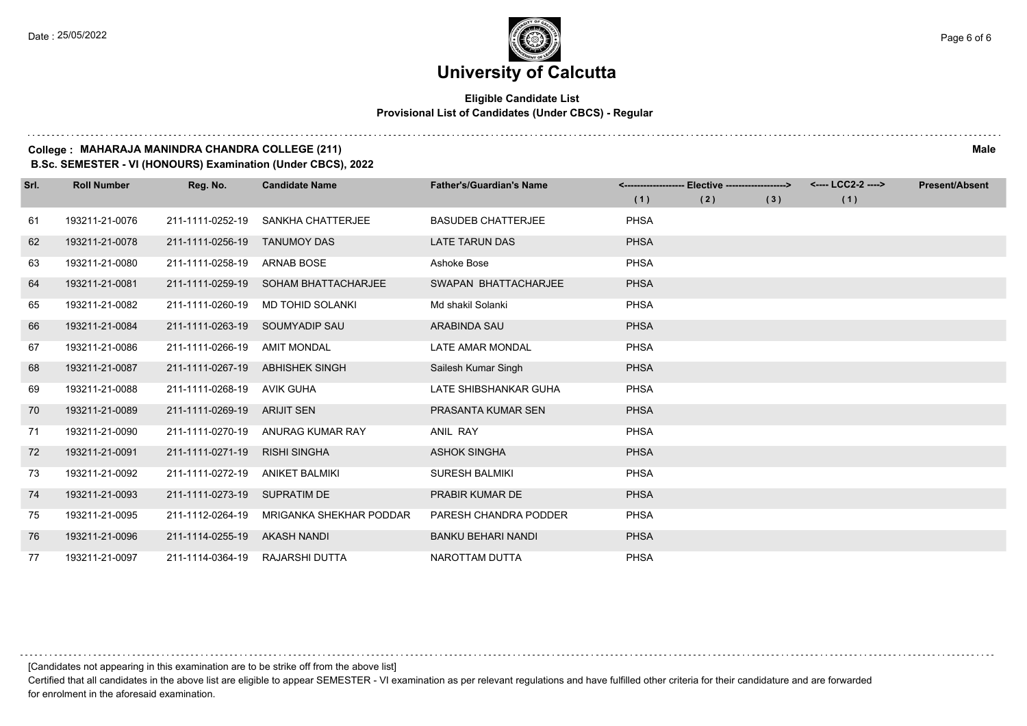### **Eligible Candidate List Provisional List of Candidates (Under CBCS) - Regular**

#### **College : MAHARAJA MANINDRA CHANDRA COLLEGE (211) Male**

**B.Sc. SEMESTER - VI (HONOURS) Examination (Under CBCS), 2022**

| Srl. | <b>Roll Number</b> | Reg. No.         | <b>Candidate Name</b>      | <b>Father's/Guardian's Name</b> |             | Elective -------------------> |     | <---- LCC2-2 ----> | <b>Present/Absent</b> |
|------|--------------------|------------------|----------------------------|---------------------------------|-------------|-------------------------------|-----|--------------------|-----------------------|
|      |                    |                  |                            |                                 | (1)         | (2)                           | (3) | (1)                |                       |
| 61   | 193211-21-0076     | 211-1111-0252-19 | SANKHA CHATTERJEE          | <b>BASUDEB CHATTERJEE</b>       | <b>PHSA</b> |                               |     |                    |                       |
| 62   | 193211-21-0078     | 211-1111-0256-19 | <b>TANUMOY DAS</b>         | <b>LATE TARUN DAS</b>           | <b>PHSA</b> |                               |     |                    |                       |
| 63   | 193211-21-0080     | 211-1111-0258-19 | <b>ARNAB BOSE</b>          | Ashoke Bose                     | <b>PHSA</b> |                               |     |                    |                       |
| 64   | 193211-21-0081     | 211-1111-0259-19 | <b>SOHAM BHATTACHARJEE</b> | SWAPAN BHATTACHARJEE            | <b>PHSA</b> |                               |     |                    |                       |
| 65   | 193211-21-0082     | 211-1111-0260-19 | <b>MD TOHID SOLANKI</b>    | Md shakil Solanki               | <b>PHSA</b> |                               |     |                    |                       |
| 66   | 193211-21-0084     | 211-1111-0263-19 | SOUMYADIP SAU              | ARABINDA SAU                    | <b>PHSA</b> |                               |     |                    |                       |
| 67   | 193211-21-0086     | 211-1111-0266-19 | <b>AMIT MONDAL</b>         | LATE AMAR MONDAL                | PHSA        |                               |     |                    |                       |
| 68   | 193211-21-0087     | 211-1111-0267-19 | <b>ABHISHEK SINGH</b>      | Sailesh Kumar Singh             | <b>PHSA</b> |                               |     |                    |                       |
| 69   | 193211-21-0088     | 211-1111-0268-19 | AVIK GUHA                  | LATE SHIBSHANKAR GUHA           | <b>PHSA</b> |                               |     |                    |                       |
| 70   | 193211-21-0089     | 211-1111-0269-19 | ARIJIT SEN                 | PRASANTA KUMAR SEN              | <b>PHSA</b> |                               |     |                    |                       |
| 71   | 193211-21-0090     | 211-1111-0270-19 | ANURAG KUMAR RAY           | <b>ANIL RAY</b>                 | <b>PHSA</b> |                               |     |                    |                       |
| 72   | 193211-21-0091     | 211-1111-0271-19 | <b>RISHI SINGHA</b>        | <b>ASHOK SINGHA</b>             | <b>PHSA</b> |                               |     |                    |                       |
| 73   | 193211-21-0092     | 211-1111-0272-19 | <b>ANIKET BALMIKI</b>      | <b>SURESH BALMIKI</b>           | <b>PHSA</b> |                               |     |                    |                       |
| 74   | 193211-21-0093     | 211-1111-0273-19 | <b>SUPRATIM DE</b>         | PRABIR KUMAR DE                 | <b>PHSA</b> |                               |     |                    |                       |
| 75   | 193211-21-0095     | 211-1112-0264-19 | MRIGANKA SHEKHAR PODDAR    | PARESH CHANDRA PODDER           | PHSA        |                               |     |                    |                       |
| 76   | 193211-21-0096     | 211-1114-0255-19 | <b>AKASH NANDI</b>         | <b>BANKU BEHARI NANDI</b>       | <b>PHSA</b> |                               |     |                    |                       |
| 77   | 193211-21-0097     | 211-1114-0364-19 | RAJARSHI DUTTA             | NAROTTAM DUTTA                  | <b>PHSA</b> |                               |     |                    |                       |

[Candidates not appearing in this examination are to be strike off from the above list]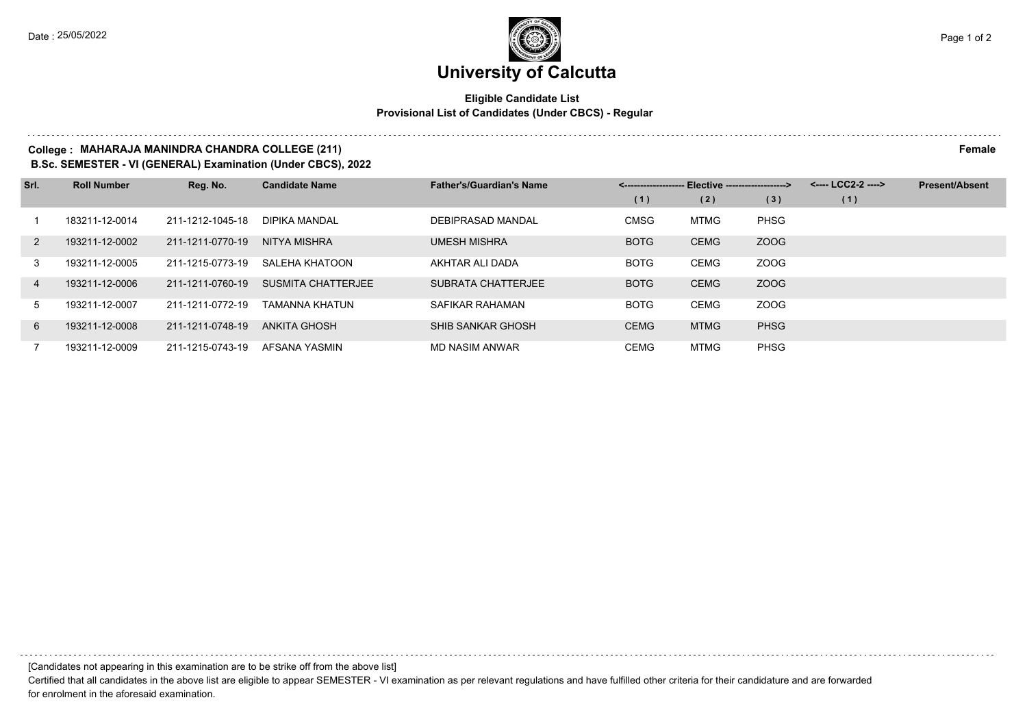## **Eligible Candidate List Provisional List of Candidates (Under CBCS) - Regular**

## **College : MAHARAJA MANINDRA CHANDRA COLLEGE (211) Female**

**B.Sc. SEMESTER - VI (GENERAL) Examination (Under CBCS), 2022**

| Srl.           | <b>Roll Number</b> | Reg. No.         | <b>Candidate Name</b> | <b>Father's/Guardian's Name</b> | Elective -------------------><br><------------------- |             |             | <---- LCC2-2 ----> | <b>Present/Absent</b> |
|----------------|--------------------|------------------|-----------------------|---------------------------------|-------------------------------------------------------|-------------|-------------|--------------------|-----------------------|
|                |                    |                  |                       |                                 | (1)                                                   | (2)         | (3)         | (1)                |                       |
|                | 183211-12-0014     | 211-1212-1045-18 | <b>DIPIKA MANDAL</b>  | DEBIPRASAD MANDAL               | <b>CMSG</b>                                           | MTMG        | <b>PHSG</b> |                    |                       |
| 2              | 193211-12-0002     | 211-1211-0770-19 | NITYA MISHRA          | <b>UMESH MISHRA</b>             | <b>BOTG</b>                                           | <b>CEMG</b> | ZOOG        |                    |                       |
| 3              | 193211-12-0005     | 211-1215-0773-19 | SALEHA KHATOON        | AKHTAR ALI DADA                 | <b>BOTG</b>                                           | <b>CEMG</b> | ZOOG        |                    |                       |
| $\overline{4}$ | 193211-12-0006     | 211-1211-0760-19 | SUSMITA CHATTERJEE    | SUBRATA CHATTERJEE              | <b>BOTG</b>                                           | <b>CEMG</b> | ZOOG        |                    |                       |
| 5              | 193211-12-0007     | 211-1211-0772-19 | TAMANNA KHATUN        | SAFIKAR RAHAMAN                 | <b>BOTG</b>                                           | <b>CEMG</b> | ZOOG        |                    |                       |
| 6              | 193211-12-0008     | 211-1211-0748-19 | ANKITA GHOSH          | SHIB SANKAR GHOSH               | <b>CEMG</b>                                           | <b>MTMG</b> | <b>PHSG</b> |                    |                       |
|                | 193211-12-0009     | 211-1215-0743-19 | AFSANA YASMIN         | MD NASIM ANWAR                  | <b>CEMG</b>                                           | MTMG        | <b>PHSG</b> |                    |                       |

[Candidates not appearing in this examination are to be strike off from the above list]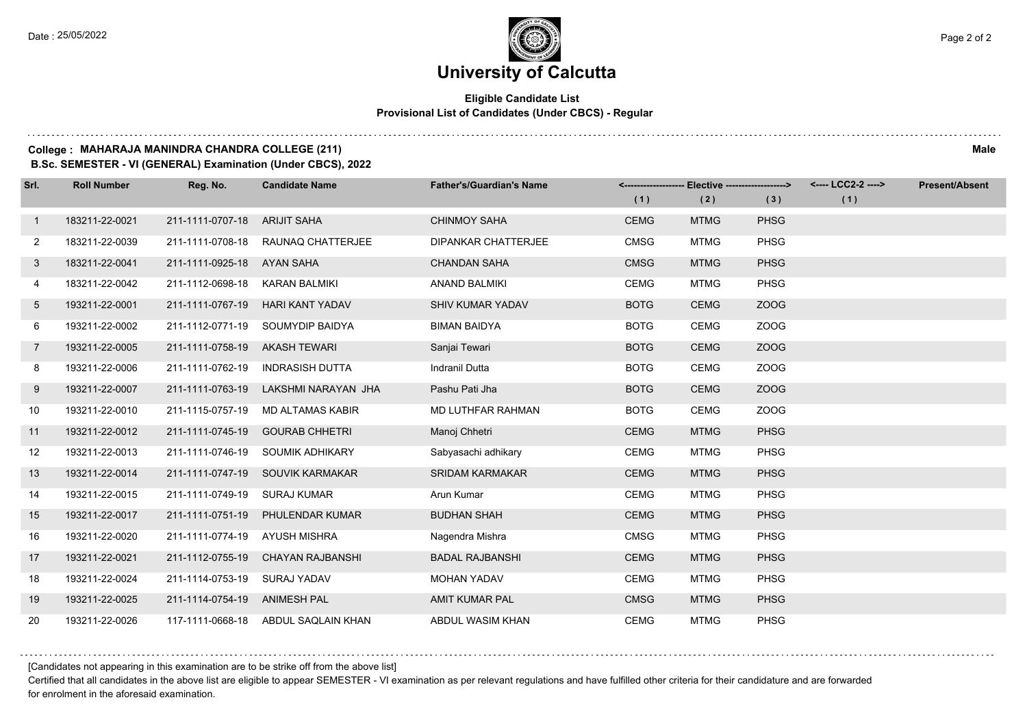## **Eligible Candidate List Provisional List of Candidates (Under CBCS) - Regular**

#### **College : MAHARAJA MANINDRA CHANDRA COLLEGE (211) Male**

**B.Sc. SEMESTER - VI (GENERAL) Examination (Under CBCS), 2022**

| Srl.           | <b>Roll Number</b> | Reg. No.                       | <b>Candidate Name</b>               | <b>Father's/Guardian's Name</b> |             | <-------------------- Elective ------------------> |             | <---- LCC2-2 ----> | <b>Present/Absent</b> |
|----------------|--------------------|--------------------------------|-------------------------------------|---------------------------------|-------------|----------------------------------------------------|-------------|--------------------|-----------------------|
|                |                    |                                |                                     |                                 | (1)         | (2)                                                | (3)         | (1)                |                       |
| $\mathbf{1}$   | 183211-22-0021     | 211-1111-0707-18               | <b>ARIJIT SAHA</b>                  | <b>CHINMOY SAHA</b>             | <b>CEMG</b> | <b>MTMG</b>                                        | <b>PHSG</b> |                    |                       |
| $\mathbf{2}$   | 183211-22-0039     |                                | 211-1111-0708-18 RAUNAQ CHATTERJEE  | <b>DIPANKAR CHATTERJEE</b>      | <b>CMSG</b> | <b>MTMG</b>                                        | <b>PHSG</b> |                    |                       |
| 3              | 183211-22-0041     | 211-1111-0925-18 AYAN SAHA     |                                     | <b>CHANDAN SAHA</b>             | <b>CMSG</b> | <b>MTMG</b>                                        | <b>PHSG</b> |                    |                       |
| 4              | 183211-22-0042     | 211-1112-0698-18 KARAN BALMIKI |                                     | <b>ANAND BALMIKI</b>            | <b>CEMG</b> | <b>MTMG</b>                                        | <b>PHSG</b> |                    |                       |
| $5^{\circ}$    | 193211-22-0001     | 211-1111-0767-19               | HARI KANT YADAV                     | <b>SHIV KUMAR YADAV</b>         | <b>BOTG</b> | <b>CEMG</b>                                        | ZOOG        |                    |                       |
| 6              | 193211-22-0002     | 211-1112-0771-19               | SOUMYDIP BAIDYA                     | <b>BIMAN BAIDYA</b>             | <b>BOTG</b> | <b>CEMG</b>                                        | ZOOG        |                    |                       |
| $\overline{7}$ | 193211-22-0005     | 211-1111-0758-19 AKASH TEWARI  |                                     | Sanjai Tewari                   | <b>BOTG</b> | <b>CEMG</b>                                        | ZOOG        |                    |                       |
| 8              | 193211-22-0006     | 211-1111-0762-19               | INDRASISH DUTTA                     | Indranil Dutta                  | <b>BOTG</b> | <b>CEMG</b>                                        | ZOOG        |                    |                       |
| 9              | 193211-22-0007     | 211-1111-0763-19               | LAKSHMI NARAYAN JHA                 | Pashu Pati Jha                  | <b>BOTG</b> | <b>CEMG</b>                                        | ZOOG        |                    |                       |
| 10             | 193211-22-0010     | 211-1115-0757-19               | MD ALTAMAS KABIR                    | MD LUTHFAR RAHMAN               | <b>BOTG</b> | <b>CEMG</b>                                        | ZOOG        |                    |                       |
| 11             | 193211-22-0012     |                                | 211-1111-0745-19 GOURAB CHHETRI     | Manoj Chhetri                   | <b>CEMG</b> | <b>MTMG</b>                                        | <b>PHSG</b> |                    |                       |
| 12             | 193211-22-0013     |                                | 211-1111-0746-19 SOUMIK ADHIKARY    | Sabyasachi adhikary             | <b>CEMG</b> | <b>MTMG</b>                                        | <b>PHSG</b> |                    |                       |
| 13             | 193211-22-0014     |                                | 211-1111-0747-19 SOUVIK KARMAKAR    | <b>SRIDAM KARMAKAR</b>          | <b>CEMG</b> | <b>MTMG</b>                                        | <b>PHSG</b> |                    |                       |
| 14             | 193211-22-0015     | 211-1111-0749-19               | SURAJ KUMAR                         | Arun Kumar                      | <b>CEMG</b> | <b>MTMG</b>                                        | PHSG        |                    |                       |
| 15             | 193211-22-0017     | 211-1111-0751-19               | PHULENDAR KUMAR                     | <b>BUDHAN SHAH</b>              | <b>CEMG</b> | <b>MTMG</b>                                        | <b>PHSG</b> |                    |                       |
| 16             | 193211-22-0020     | 211-1111-0774-19 AYUSH MISHRA  |                                     | Nagendra Mishra                 | <b>CMSG</b> | <b>MTMG</b>                                        | <b>PHSG</b> |                    |                       |
| 17             | 193211-22-0021     | 211-1112-0755-19               | CHAYAN RAJBANSHI                    | <b>BADAL RAJBANSHI</b>          | <b>CEMG</b> | <b>MTMG</b>                                        | <b>PHSG</b> |                    |                       |
| 18             | 193211-22-0024     | 211-1114-0753-19 SURAJ YADAV   |                                     | <b>MOHAN YADAV</b>              | <b>CEMG</b> | <b>MTMG</b>                                        | <b>PHSG</b> |                    |                       |
| 19             | 193211-22-0025     | 211-1114-0754-19 ANIMESH PAL   |                                     | <b>AMIT KUMAR PAL</b>           | <b>CMSG</b> | <b>MTMG</b>                                        | <b>PHSG</b> |                    |                       |
| 20             | 193211-22-0026     |                                | 117-1111-0668-18 ABDUL SAQLAIN KHAN | ABDUL WASIM KHAN                | <b>CEMG</b> | <b>MTMG</b>                                        | <b>PHSG</b> |                    |                       |

[Candidates not appearing in this examination are to be strike off from the above list]